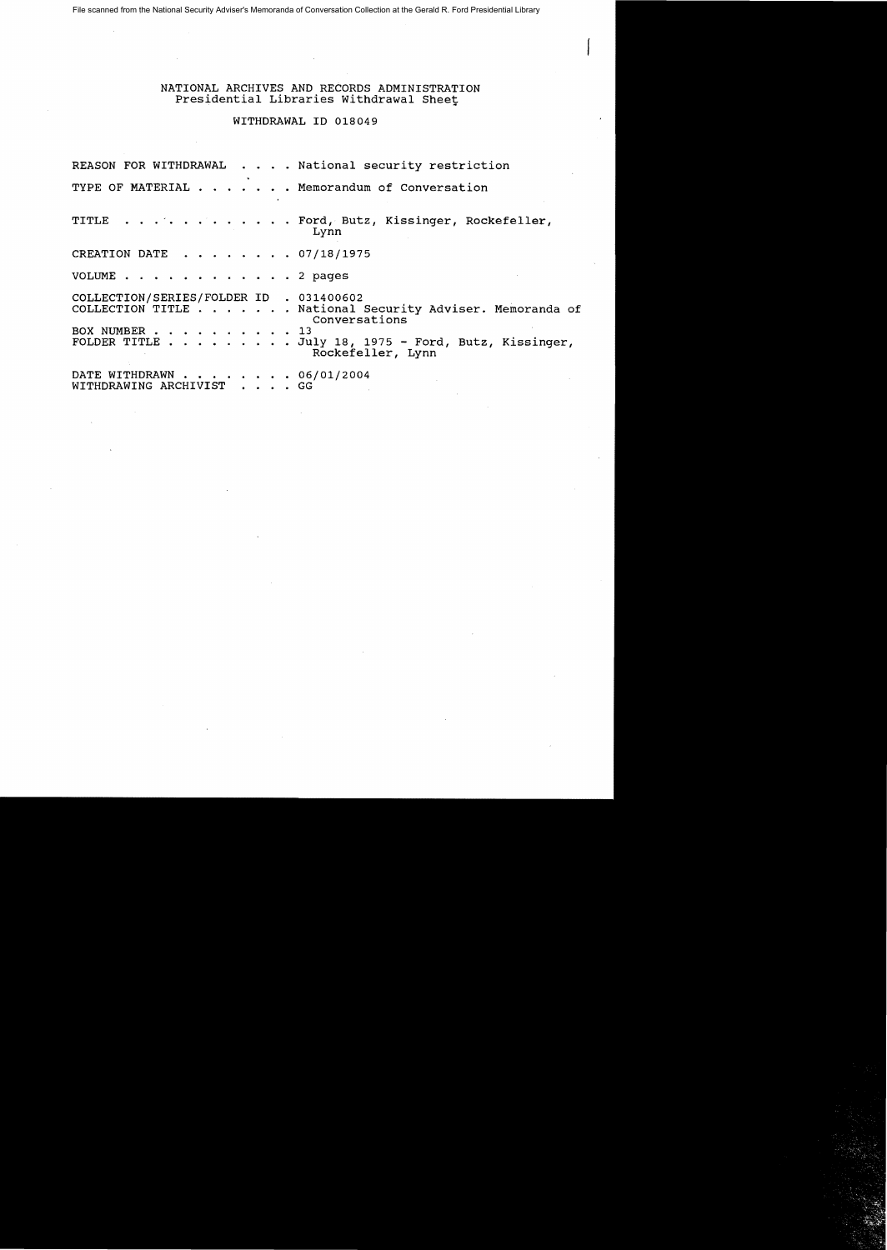File scanned from the National Security Adviser's Memoranda of Conversation Collection at the Gerald R. Ford Presidential Library

## NATIONAL ARCHIVES AND RECORDS ADMINISTRATION Presidential Libraries Withdrawal Sheet

## WITHDRAWAL ID 018049

REASON FOR WITHDRAWAL . . . . National security restriction TYPE OF MATERIAL  $\cdots$   $\cdots$   $\cdots$  Memorandum of Conversation TITLE . . . . . . . . . . . . Ford, Butz, Kissinger, Rockefeller, Lynn CREATION DATE  $\ldots$  . . . . . 07/18/1975 VOLUME . . . . . . . . . . . . 2 pages COLLECTION/SERIES/FOLDER ID . 031400602 COLLECTION TITLE . . .. . National Security Adviser. Memoranda of Conversations<br>13 BOX NUMBER . . . . . . FOLDER TITLE . . . . . . . . July 18, 1975 - Ford, Butz, Kissinger, Rockefeller, Lynn DATE WITHDRAWN . . . . . . . 06/01/2004 WITHDRAWING ARCHIVIST . . . . GG